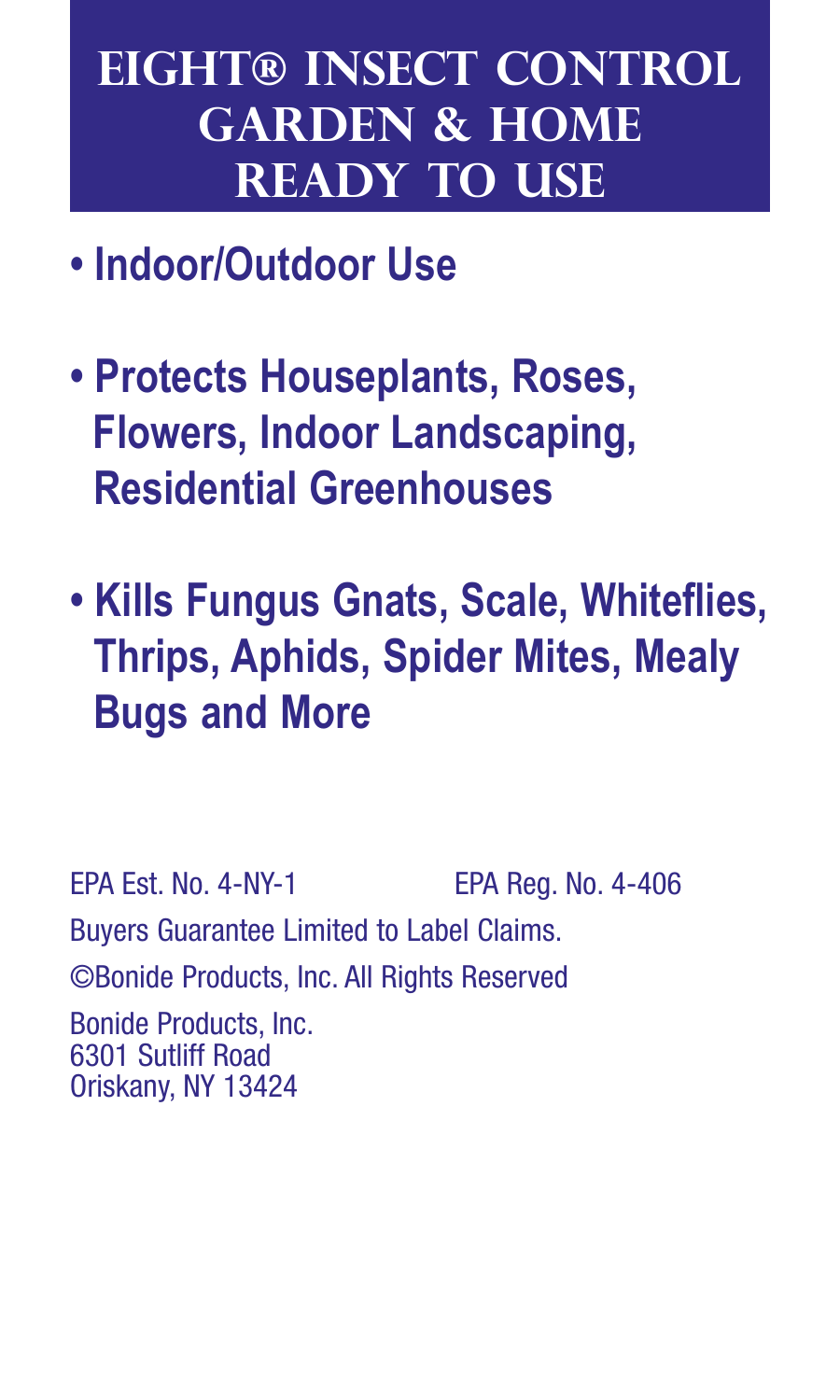# **eight® insect control garden & home ready to use**

- **• Indoor/Outdoor Use**
- **• Protects Houseplants, Roses, Flowers, Indoor Landscaping, Residential Greenhouses**
- **Kills Fungus Gnats, Scale, Whiteflies, Thrips, Aphids, Spider Mites, Mealy Bugs and More**

EPA Est. No. 4-NY-1 EPA Reg. No. 4-406 Buyers Guarantee Limited to Label Claims. ©Bonide Products, Inc. All Rights Reserved Bonide Products, Inc. 6301 Sutliff Road Oriskany, NY 13424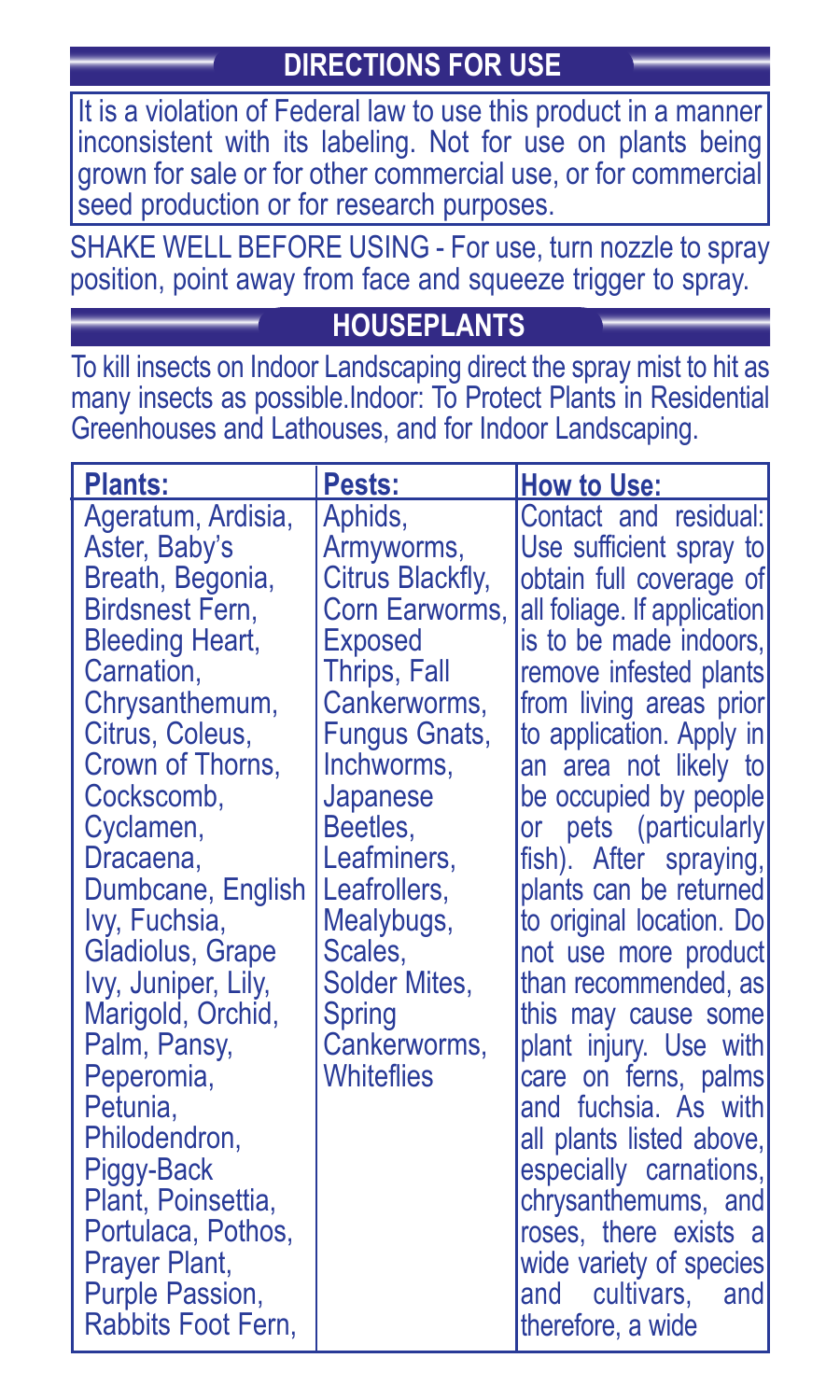## **DIRECTIONS FOR USE**

It is a violation of Federal law to use this product in a manner inconsistent with its labeling. Not for use on plants being grown for sale or for other commercial use, or for commercial seed production or for research purposes.

SHAKE WELL BEFORE USING - For use, turn nozzle to spray position, point away from face and squeeze trigger to spray.

## **HOUSEPLANTS**

To kill insects on Indoor Landscaping direct the spray mist to hit as many insects as possible.Indoor: To Protect Plants in Residential Greenhouses and Lathouses, and for Indoor Landscaping.

| Plants:                                                                                                                                                                                                                                                                                                                                                                                                                                                                                                  | Pests:                                                                                                                                                                                                                                                                         | <b>How to Use:</b>                                                                                                                                                                                                                                                                                                                                                                                                                                                                                                                                                                                                                                                                                                  |
|----------------------------------------------------------------------------------------------------------------------------------------------------------------------------------------------------------------------------------------------------------------------------------------------------------------------------------------------------------------------------------------------------------------------------------------------------------------------------------------------------------|--------------------------------------------------------------------------------------------------------------------------------------------------------------------------------------------------------------------------------------------------------------------------------|---------------------------------------------------------------------------------------------------------------------------------------------------------------------------------------------------------------------------------------------------------------------------------------------------------------------------------------------------------------------------------------------------------------------------------------------------------------------------------------------------------------------------------------------------------------------------------------------------------------------------------------------------------------------------------------------------------------------|
| Ageratum, Ardisia,<br>Aster, Baby's<br>Breath, Begonia,<br>Birdsnest Fern.<br><b>Bleeding Heart,</b><br>Carnation.<br>Chrysanthemum,<br>Citrus, Coleus,<br>Crown of Thorns,<br>Cockscomb.<br>Cyclamen,<br>Dracaena.<br>Dumbcane, English<br>Ivy, Fuchsia,<br>Gladiolus, Grape<br>Ivy, Juniper, Lily,<br>Marigold, Orchid,<br>Palm, Pansy,<br>Peperomia,<br>Petunia,<br>Philodendron,<br>Piggy-Back<br>Plant, Poinsettia,<br>Portulaca, Pothos,<br>Prayer Plant,<br>Purple Passion,<br>Rabbits Foot Fern. | Aphids,<br>Armyworms,<br>Citrus Blackfly,<br>Corn Earworms.<br>Exposed<br>Thrips, Fall<br>Cankerworms.<br>Fungus Gnats,<br>Inchworms.<br>Japanese<br>Beetles,<br>Leafminers.<br>Leafrollers.<br>Mealybugs,<br>Scales.<br>Solder Mites.<br>Spring<br>Cankerworms,<br>Whitefiies | Contact and residual:<br>Use sufficient spray to<br>obtain full coverage of<br>all foliage. If application<br>is to be made indoors,<br>remove infested plants<br>from living areas prior<br>to application. Apply in<br>an area not likely to<br>be occupied by people<br>or pets (particularly<br>fish). After spraying,<br>plants can be returned<br>to original location. Do<br>not use more product<br>than recommended, as<br>this may cause some<br>plant injury. Use with<br>care on ferns, palms<br>and fuchsia. As with<br>all plants listed above,<br>especially carnations,<br>chrysanthemums, and<br>roses, there exists a<br>wide variety of species<br>cultivars,<br>and<br>and<br>therefore, a wide |
|                                                                                                                                                                                                                                                                                                                                                                                                                                                                                                          |                                                                                                                                                                                                                                                                                |                                                                                                                                                                                                                                                                                                                                                                                                                                                                                                                                                                                                                                                                                                                     |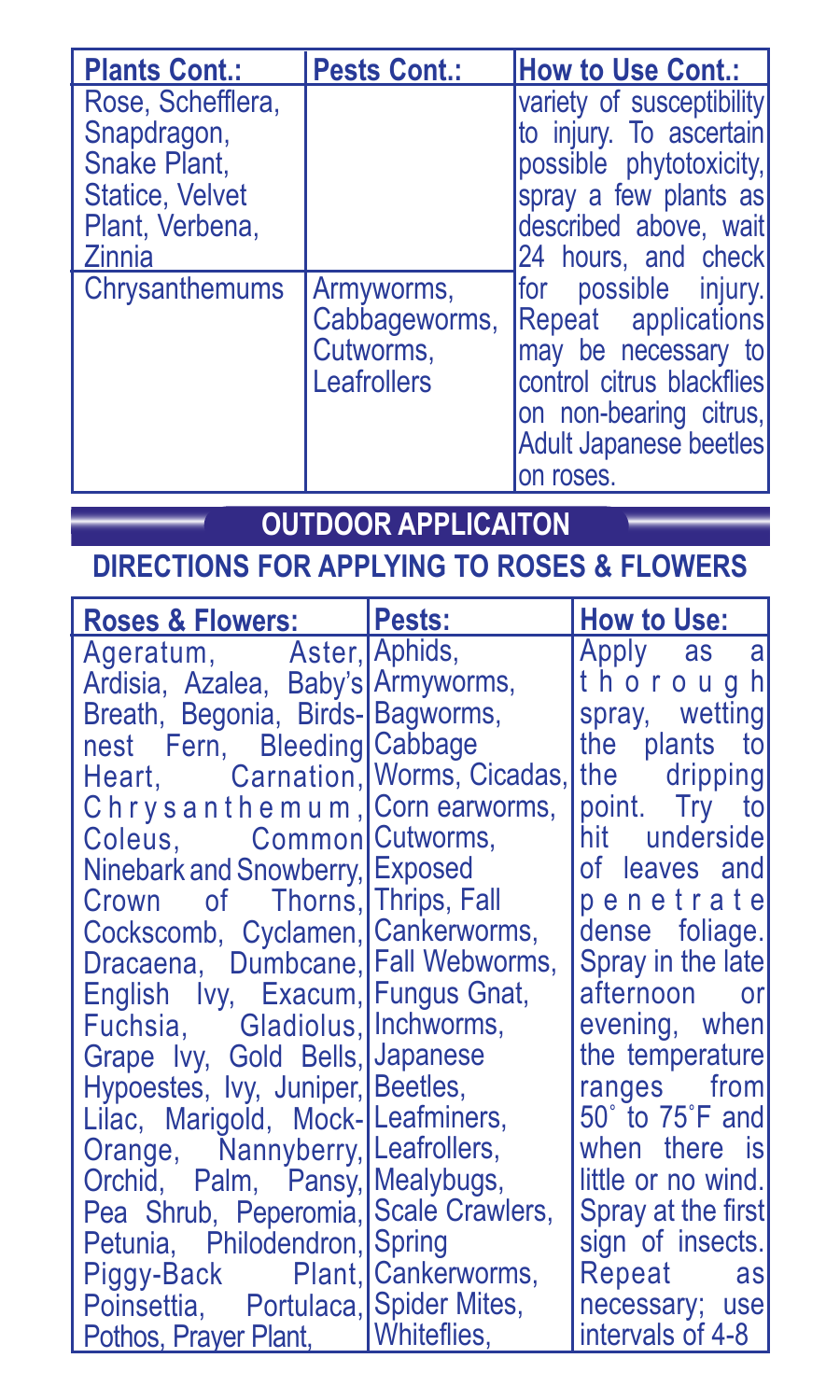| <b>Plants Cont.:</b>                                                                   | <b>Pests Cont.:</b>                                     | How to Use Cont.:                                                                                                                                                          |  |
|----------------------------------------------------------------------------------------|---------------------------------------------------------|----------------------------------------------------------------------------------------------------------------------------------------------------------------------------|--|
| Rose, Schefflera.<br>Snapdragon,<br>Snake Plant.<br>Statice, Velvet<br>Plant. Verbena. |                                                         | variety of susceptibility<br>to injury. To ascertain<br>possible phytotoxicity,<br>spray a few plants as<br>described above, wait                                          |  |
| Zinnia<br>Chrysanthemums                                                               | Armyworms.<br>Cabbageworms,<br>Cutworms.<br>Leafrollers | 24 hours, and check<br>for possible injury.<br>Repeat applications<br>may be necessary to<br>control citrus blackflies<br>on non-bearing citrus,<br>Adult Japanese beetles |  |
|                                                                                        |                                                         | on roses.                                                                                                                                                                  |  |

## **OUTDOOR APPLICAITON**

## **DIRECTIONS FOR APPLYING TO ROSES & FLOWERS**

| Roses & Flowers: Pests:               | <b>How to Use:</b> |
|---------------------------------------|--------------------|
| Ageratum, Aster, Aphids,              | Apply as a         |
| Ardisia, Azalea, Baby's Armyworms,    | thorough           |
| Breath, Begonia, Birds- Bagworms,     | spray, wetting     |
| nest Fern, Bleeding Cabbage           | the plants to      |
| Heart, Carnation, Worms, Cicadas,     | the dripping       |
| Chrysanthemum, Cornearworms,          | point. Try to      |
| Coleus. Common Cutworms,              | hit underside      |
| Ninebark and Snowberry, Exposed       | of leaves and      |
| Crown of Thorns, Thrips, Fall         | penetratel         |
| Cockscomb, Cyclamen, Cankerworms,     | dense foliage.     |
| Dracaena, Dumbcane, Fall Webworms,    | Spray in the late  |
| English Ivy, Exacum, Fungus Gnat,     | afternoon or       |
| Fuchsia, Gladiolus, Inchworms,        | evening, when      |
| Grape Ivy, Gold Bells, Japanese       | the temperature    |
| Hypoestes, Ivy, Juniper, Beetles,     | ranges from        |
| Lilac, Marigold, Mock-Leafminers,     | 50° to 75°F and    |
| Orange, Nannyberry, Leafrollers,      | when there is      |
| Orchid, Palm, Pansy, Mealybugs,       | little or no wind. |
| Pea Shrub, Peperomia, Scale Crawlers, | Spray at the first |
| Petunia, Philodendron, Spring         | sign of insects.   |
| Piggy-Back Plant, Cankerworms,        | Repeat as          |
| Poinsettia, Portulaca, Spider Mites,  | necessary; use     |
| Pothos, Prayer Plant, Whiteflies,     | intervals of 4-8   |